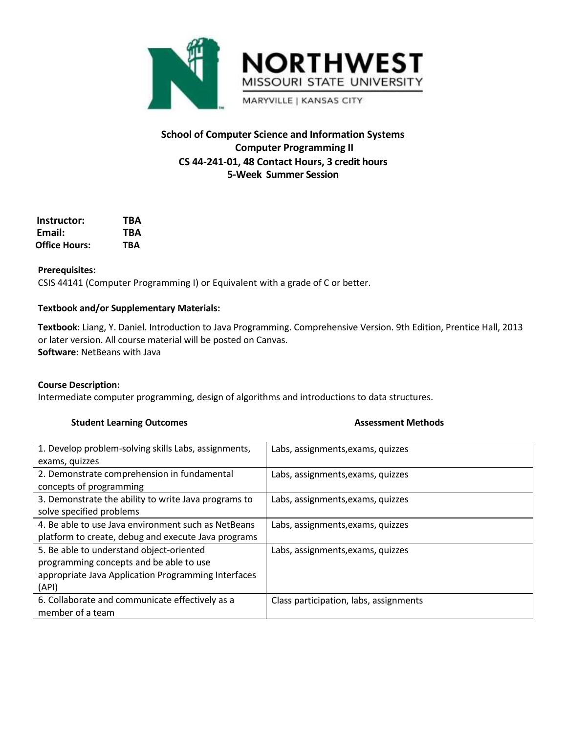

# **School of Computer Science and Information Systems Computer Programming II CS 44-241-01, 48 Contact Hours, 3 credit hours 5-Week Summer Session**

| Instructor:   | TBA |
|---------------|-----|
| Email:        | TBA |
| Office Hours: | TRA |

# **Prerequisites:**

CSIS 44141 (Computer Programming I) or Equivalent with a grade of C or better.

# **Textbook and/or Supplementary Materials:**

**Textbook**: Liang, Y. Daniel. Introduction to Java Programming. Comprehensive Version. 9th Edition, Prentice Hall, 2013 or later version. All course material will be posted on Canvas. **Software**: NetBeans with Java

#### **Course Description:**

Intermediate computer programming, design of algorithms and introductions to data structures.

# **Student Learning Outcomes Assessment Methods**

| 1. Develop problem-solving skills Labs, assignments, | Labs, assignments, exams, quizzes      |
|------------------------------------------------------|----------------------------------------|
| exams, quizzes                                       |                                        |
| 2. Demonstrate comprehension in fundamental          | Labs, assignments, exams, quizzes      |
| concepts of programming                              |                                        |
| 3. Demonstrate the ability to write Java programs to | Labs, assignments, exams, quizzes      |
| solve specified problems                             |                                        |
| 4. Be able to use Java environment such as NetBeans  | Labs, assignments, exams, quizzes      |
| platform to create, debug and execute Java programs  |                                        |
| 5. Be able to understand object-oriented             | Labs, assignments, exams, quizzes      |
| programming concepts and be able to use              |                                        |
| appropriate Java Application Programming Interfaces  |                                        |
| (API)                                                |                                        |
| 6. Collaborate and communicate effectively as a      | Class participation, labs, assignments |
| member of a team                                     |                                        |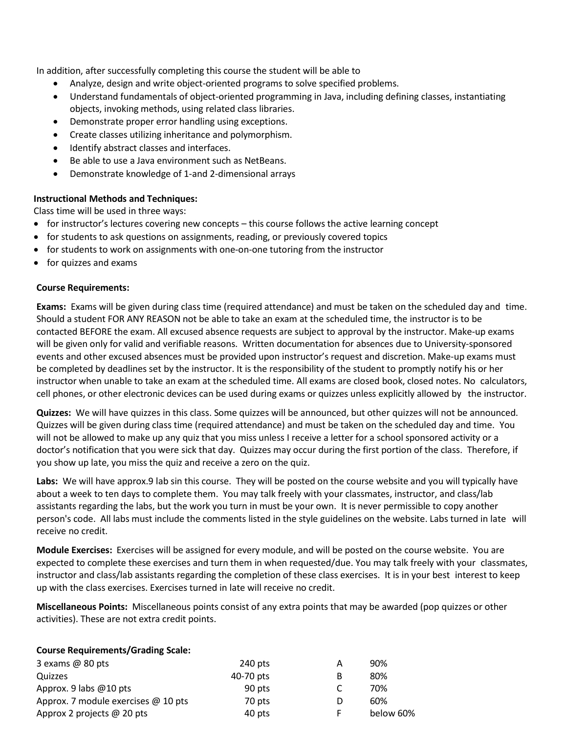In addition, after successfully completing this course the student will be able to

- Analyze, design and write object-oriented programs to solve specified problems.
- Understand fundamentals of object-oriented programming in Java, including defining classes, instantiating objects, invoking methods, using related class libraries.
- Demonstrate proper error handling using exceptions.
- Create classes utilizing inheritance and polymorphism.
- Identify abstract classes and interfaces.
- Be able to use a Java environment such as NetBeans.
- Demonstrate knowledge of 1-and 2-dimensional arrays

# **Instructional Methods and Techniques:**

Class time will be used in three ways:

- for instructor's lectures covering new concepts this course follows the active learning concept
- for students to ask questions on assignments, reading, or previously covered topics
- for students to work on assignments with one-on-one tutoring from the instructor
- for quizzes and exams

# **Course Requirements:**

**Exams:** Exams will be given during class time (required attendance) and must be taken on the scheduled day and time. Should a student FOR ANY REASON not be able to take an exam at the scheduled time, the instructor is to be contacted BEFORE the exam. All excused absence requests are subject to approval by the instructor. Make-up exams will be given only for valid and verifiable reasons. Written documentation for absences due to University-sponsored events and other excused absences must be provided upon instructor's request and discretion. Make-up exams must be completed by deadlines set by the instructor. It is the responsibility of the student to promptly notify his or her instructor when unable to take an exam at the scheduled time. All exams are closed book, closed notes. No calculators, cell phones, or other electronic devices can be used during exams or quizzes unless explicitly allowed by the instructor.

**Quizzes:** We will have quizzes in this class. Some quizzes will be announced, but other quizzes will not be announced. Quizzes will be given during class time (required attendance) and must be taken on the scheduled day and time. You will not be allowed to make up any quiz that you miss unless I receive a letter for a school sponsored activity or a doctor's notification that you were sick that day. Quizzes may occur during the first portion of the class. Therefore, if you show up late, you miss the quiz and receive a zero on the quiz.

**Labs:** We will have approx.9 lab sin this course. They will be posted on the course website and you will typically have about a week to ten days to complete them. You may talk freely with your classmates, instructor, and class/lab assistants regarding the labs, but the work you turn in must be your own. It is never permissible to copy another person's code. All labs must include the comments listed in the style guidelines on the website. Labs turned in late will receive no credit.

**Module Exercises:** Exercises will be assigned for every module, and will be posted on the course website. You are expected to complete these exercises and turn them in when requested/due. You may talk freely with your classmates, instructor and class/lab assistants regarding the completion of these class exercises. It is in your best interest to keep up with the class exercises. Exercises turned in late will receive no credit.

**Miscellaneous Points:** Miscellaneous points consist of any extra points that may be awarded (pop quizzes or other activities). These are not extra credit points.

#### **Course Requirements/Grading Scale:**

| 3 exams $@$ 80 pts                  | $240$ pts | А | 90%       |
|-------------------------------------|-----------|---|-----------|
| Quizzes                             | 40-70 pts | B | 80%       |
| Approx. 9 labs $@10$ pts            | 90 pts    |   | 70%       |
| Approx. 7 module exercises @ 10 pts | 70 pts    | D | 60%       |
| Approx 2 projects @ 20 pts          | 40 pts    |   | below 60% |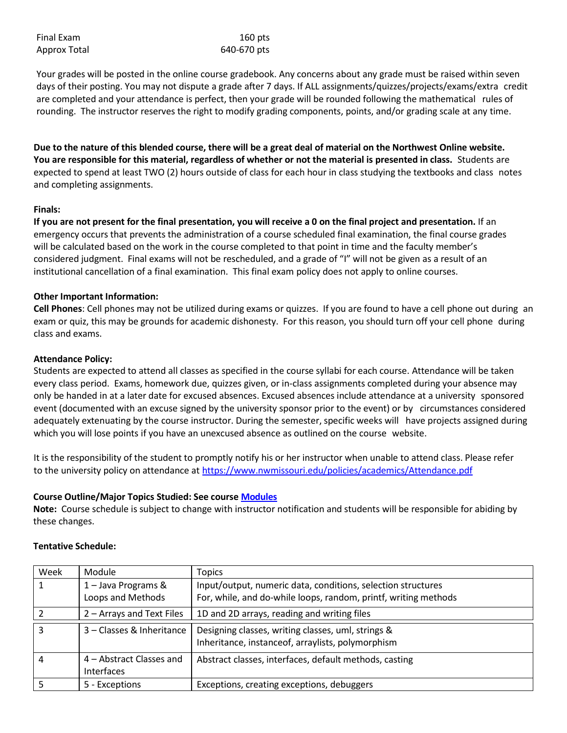| Final Exam   | $160$ pts   |
|--------------|-------------|
| Approx Total | 640-670 pts |

Your grades will be posted in the online course gradebook. Any concerns about any grade must be raised within seven days of their posting. You may not dispute a grade after 7 days. If ALL assignments/quizzes/projects/exams/extra credit are completed and your attendance is perfect, then your grade will be rounded following the mathematical rules of rounding. The instructor reserves the right to modify grading components, points, and/or grading scale at any time.

**Due to the nature of this blended course, there will be a great deal of material on the Northwest Online website. You are responsible for this material, regardless of whether or not the material is presented in class.** Students are expected to spend at least TWO (2) hours outside of class for each hour in class studying the textbooks and class notes and completing assignments.

### **Finals:**

**If you are not present for the final presentation, you will receive a 0 on the final project and presentation.** If an emergency occurs that prevents the administration of a course scheduled final examination, the final course grades will be calculated based on the work in the course completed to that point in time and the faculty member's considered judgment. Final exams will not be rescheduled, and a grade of "I" will not be given as a result of an institutional cancellation of a final examination. This final exam policy does not apply to online courses.

### **Other Important Information:**

**Cell Phones**: Cell phones may not be utilized during exams or quizzes. If you are found to have a cell phone out during an exam or quiz, this may be grounds for academic dishonesty. For this reason, you should turn off your cell phone during class and exams.

### **Attendance Policy:**

Students are expected to attend all classes as specified in the course syllabi for each course. Attendance will be taken every class period. Exams, homework due, quizzes given, or in-class assignments completed during your absence may only be handed in at a later date for excused absences. Excused absences include attendance at a university sponsored event (documented with an excuse signed by the university sponsor prior to the event) or by circumstances considered adequately extenuating by the course instructor. During the semester, specific weeks will have projects assigned during which you will lose points if you have an unexcused absence as outlined on the course website.

It is the responsibility of the student to promptly notify his or her instructor when unable to attend class. Please refer to the university policy on attendance at <https://www.nwmissouri.edu/policies/academics/Attendance.pdf>

# **Course Outline/Major Topics Studied: See course [Modules](https://nwmissouri.instructure.com/courses/32305/modules)**

**Note:** Course schedule is subject to change with instructor notification and students will be responsible for abiding by these changes.

| Week | Module                                        | <b>Topics</b>                                                                                                                   |
|------|-----------------------------------------------|---------------------------------------------------------------------------------------------------------------------------------|
|      | 1 - Java Programs &<br>Loops and Methods      | Input/output, numeric data, conditions, selection structures<br>For, while, and do-while loops, random, printf, writing methods |
|      | 2 – Arrays and Text Files                     | 1D and 2D arrays, reading and writing files                                                                                     |
|      | 3 – Classes & Inheritance                     | Designing classes, writing classes, uml, strings &<br>Inheritance, instanceof, arraylists, polymorphism                         |
| 4    | 4 – Abstract Classes and<br><b>Interfaces</b> | Abstract classes, interfaces, default methods, casting                                                                          |
|      | 5 - Exceptions                                | Exceptions, creating exceptions, debuggers                                                                                      |

#### **Tentative Schedule:**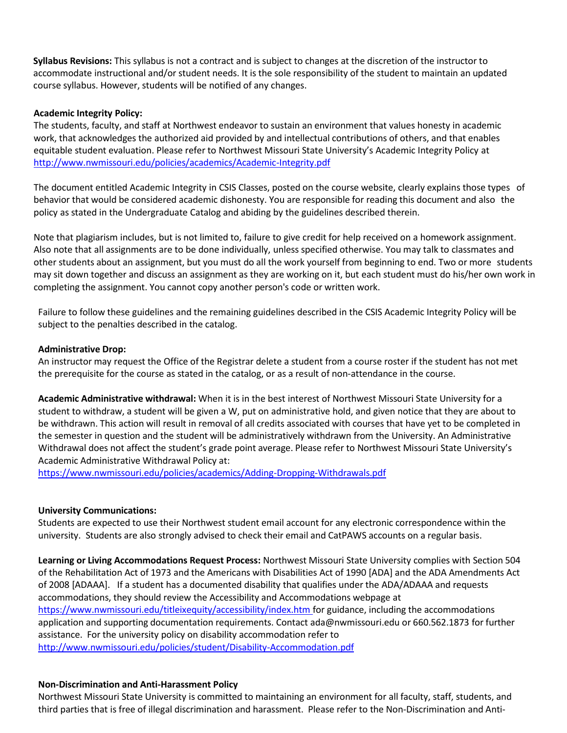**Syllabus Revisions:** This syllabus is not a contract and is subject to changes at the discretion of the instructor to accommodate instructional and/or student needs. It is the sole responsibility of the student to maintain an updated course syllabus. However, students will be notified of any changes.

## **Academic Integrity Policy:**

The students, faculty, and staff at Northwest endeavor to sustain an environment that values honesty in academic work, that acknowledges the authorized aid provided by and intellectual contributions of others, and that enables equitable student evaluation. Please refer to Northwest Missouri State University's Academic Integrity Policy at <http://www.nwmissouri.edu/policies/academics/Academic-Integrity.pdf>

The document entitled Academic Integrity in CSIS Classes, posted on the course website, clearly explains those types of behavior that would be considered academic dishonesty. You are responsible for reading this document and also the policy as stated in the Undergraduate Catalog and abiding by the guidelines described therein.

Note that plagiarism includes, but is not limited to, failure to give credit for help received on a homework assignment. Also note that all assignments are to be done individually, unless specified otherwise. You may talk to classmates and other students about an assignment, but you must do all the work yourself from beginning to end. Two or more students may sit down together and discuss an assignment as they are working on it, but each student must do his/her own work in completing the assignment. You cannot copy another person's code or written work.

Failure to follow these guidelines and the remaining guidelines described in the CSIS Academic Integrity Policy will be subject to the penalties described in the catalog.

### **Administrative Drop:**

An instructor may request the Office of the Registrar delete a student from a course roster if the student has not met the prerequisite for the course as stated in the catalog, or as a result of non-attendance in the course.

**Academic Administrative withdrawal:** When it is in the best interest of Northwest Missouri State University for a student to withdraw, a student will be given a W, put on administrative hold, and given notice that they are about to be withdrawn. This action will result in removal of all credits associated with courses that have yet to be completed in the semester in question and the student will be administratively withdrawn from the University. An Administrative Withdrawal does not affect the student's grade point average. Please refer to Northwest Missouri State University's Academic Administrative Withdrawal Policy at:

<https://www.nwmissouri.edu/policies/academics/Adding-Dropping-Withdrawals.pdf>

#### **University Communications:**

Students are expected to use their Northwest student email account for any electronic correspondence within the university. Students are also strongly advised to check their email and CatPAWS accounts on a regular basis.

**Learning or Living Accommodations Request Process:** Northwest Missouri State University complies with Section 504 of the Rehabilitation Act of 1973 and the Americans with Disabilities Act of 1990 [ADA] and the ADA Amendments Act of 2008 [ADAAA]. If a student has a documented disability that qualifies under the ADA/ADAAA and requests accommodations, they should review the Accessibility and Accommodations webpage at <https://www.nwmissouri.edu/titleixequity/accessibility/index.htm> for guidance, including the accommodations application and supporting documentation requirements. Contact [ada@nwmissouri.edu](mailto:ada@nwmissouri.edu) or 660.562.1873 for further assistance. For the university policy on disability accommodation refer t[o](http://www.nwmissouri.edu/policies/student/Disability-Accommodation.pdf)  <http://www.nwmissouri.edu/policies/student/Disability-Accommodation.pdf>

#### **Non-Discrimination and Anti-Harassment Policy**

Northwest Missouri State University is committed to maintaining an environment for all faculty, staff, students, and third parties that is free of illegal discrimination and harassment. Please refer to the Non-Discrimination and Anti